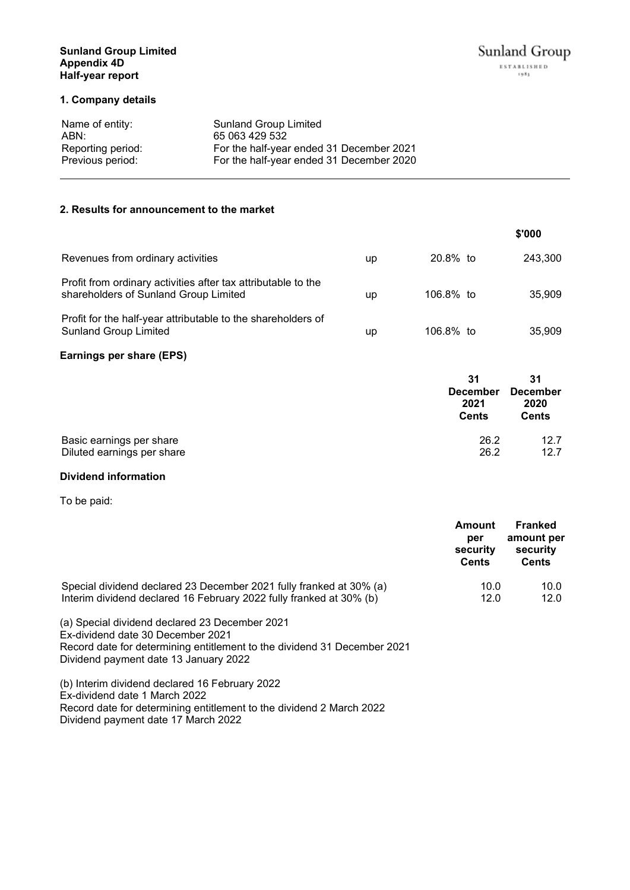# **Sunland Group Limited Appendix 4D Half-year report**

# **1. Company details**

| <b>Sunland Group Limited</b>             |
|------------------------------------------|
| 65 063 429 532                           |
| For the half-year ended 31 December 2021 |
| For the half-year ended 31 December 2020 |
|                                          |

# **2. Results for announcement to the market**

|                                                                                                        |    |             | \$'000  |
|--------------------------------------------------------------------------------------------------------|----|-------------|---------|
| Revenues from ordinary activities                                                                      | up | $20.8\%$ to | 243.300 |
| Profit from ordinary activities after tax attributable to the<br>shareholders of Sunland Group Limited | up | 106.8% to   | 35.909  |
| Profit for the half-year attributable to the shareholders of<br><b>Sunland Group Limited</b>           | up | 106.8% to   | 35,909  |

# **Earnings per share (EPS)**

|                            | 31<br><b>December</b><br>2021<br><b>Cents</b> | 31<br><b>December</b><br>2020<br><b>Cents</b> |
|----------------------------|-----------------------------------------------|-----------------------------------------------|
| Basic earnings per share   | 26.2                                          | 12.7                                          |
| Diluted earnings per share | 26.2                                          | 12.7                                          |

# **Dividend information**

To be paid:

|                                                                     | Amount<br>per<br>security<br><b>Cents</b> | Franked<br>amount per<br>security<br><b>Cents</b> |
|---------------------------------------------------------------------|-------------------------------------------|---------------------------------------------------|
| Special dividend declared 23 December 2021 fully franked at 30% (a) | 10.0                                      | 10.0                                              |
| Interim dividend declared 16 February 2022 fully franked at 30% (b) | 12.0                                      | 12.0                                              |

(a) Special dividend declared 23 December 2021 Ex-dividend date 30 December 2021 Record date for determining entitlement to the dividend 31 December 2021 Dividend payment date 13 January 2022

(b) Interim dividend declared 16 February 2022 Ex-dividend date 1 March 2022 Record date for determining entitlement to the dividend 2 March 2022 Dividend payment date 17 March 2022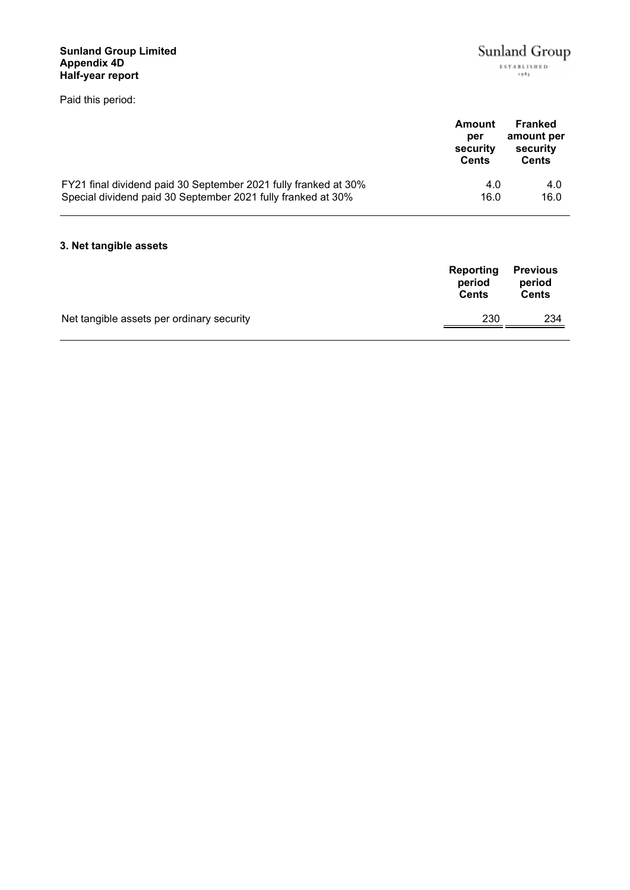# **Sunland Group Limited Appendix 4D Half-year report**

Paid this period:

|                                                                 | Amount<br>per<br>security<br><b>Cents</b> | Franked<br>amount per<br>security<br>Cents |
|-----------------------------------------------------------------|-------------------------------------------|--------------------------------------------|
| FY21 final dividend paid 30 September 2021 fully franked at 30% | 4.0                                       | 4.0                                        |
| Special dividend paid 30 September 2021 fully franked at 30%    | 16.0                                      | 16.0                                       |

# **3. Net tangible assets**

|                                           | <b>Reporting</b><br>period<br><b>Cents</b> | <b>Previous</b><br>period<br><b>Cents</b> |
|-------------------------------------------|--------------------------------------------|-------------------------------------------|
| Net tangible assets per ordinary security | 230                                        | 234                                       |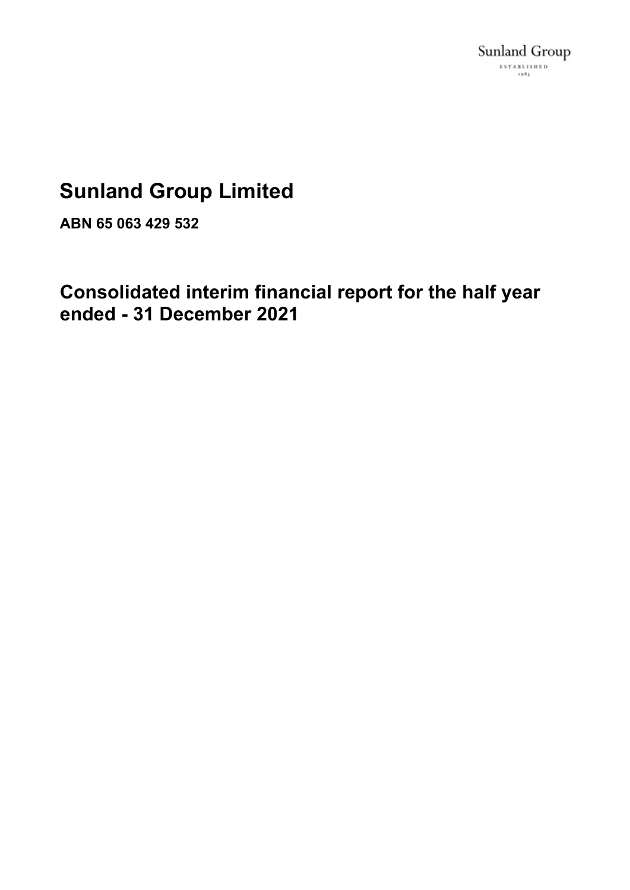# **Sunland Group Limited**

**ABN 65 063 429 532**

**Consolidated interim financial report for the half year ended - 31 December 2021**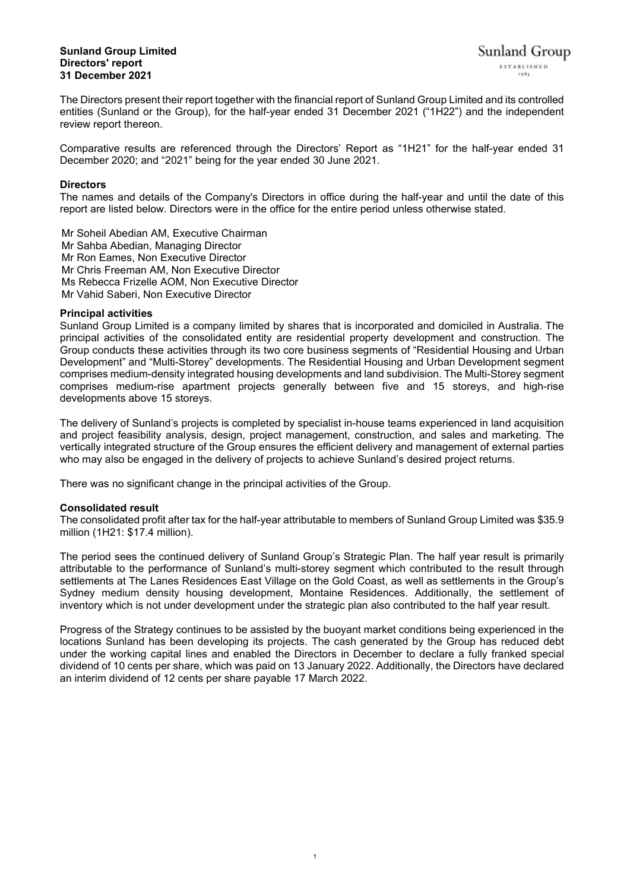### **Sunland Group Limited Directors' report 31 December 2021**

The Directors present their report together with the financial report of Sunland Group Limited and its controlled entities (Sunland or the Group), for the half-year ended 31 December 2021 ("1H22") and the independent review report thereon.

Comparative results are referenced through the Directors' Report as "1H21" for the half-year ended 31 December 2020; and "2021" being for the year ended 30 June 2021.

# **Directors**

The names and details of the Company's Directors in office during the half-year and until the date of this report are listed below. Directors were in the office for the entire period unless otherwise stated.

Mr Soheil Abedian AM, Executive Chairman Mr Sahba Abedian, Managing Director Mr Ron Eames, Non Executive Director Mr Chris Freeman AM, Non Executive Director Ms Rebecca Frizelle AOM, Non Executive Director Mr Vahid Saberi, Non Executive Director

# **Principal activities**

Sunland Group Limited is a company limited by shares that is incorporated and domiciled in Australia. The principal activities of the consolidated entity are residential property development and construction. The Group conducts these activities through its two core business segments of "Residential Housing and Urban Development" and "Multi-Storey" developments. The Residential Housing and Urban Development segment comprises medium-density integrated housing developments and land subdivision. The Multi-Storey segment comprises medium-rise apartment projects generally between five and 15 storeys, and high-rise developments above 15 storeys.

The delivery of Sunland's projects is completed by specialist in-house teams experienced in land acquisition and project feasibility analysis, design, project management, construction, and sales and marketing. The vertically integrated structure of the Group ensures the efficient delivery and management of external parties who may also be engaged in the delivery of projects to achieve Sunland's desired project returns.

There was no significant change in the principal activities of the Group.

# **Consolidated result**

The consolidated profit after tax for the half-year attributable to members of Sunland Group Limited was \$35.9 million (1H21: \$17.4 million).

The period sees the continued delivery of Sunland Group's Strategic Plan. The half year result is primarily attributable to the performance of Sunland's multi-storey segment which contributed to the result through settlements at The Lanes Residences East Village on the Gold Coast, as well as settlements in the Group's Sydney medium density housing development, Montaine Residences. Additionally, the settlement of inventory which is not under development under the strategic plan also contributed to the half year result.

Progress of the Strategy continues to be assisted by the buoyant market conditions being experienced in the locations Sunland has been developing its projects. The cash generated by the Group has reduced debt under the working capital lines and enabled the Directors in December to declare a fully franked special dividend of 10 cents per share, which was paid on 13 January 2022. Additionally, the Directors have declared an interim dividend of 12 cents per share payable 17 March 2022.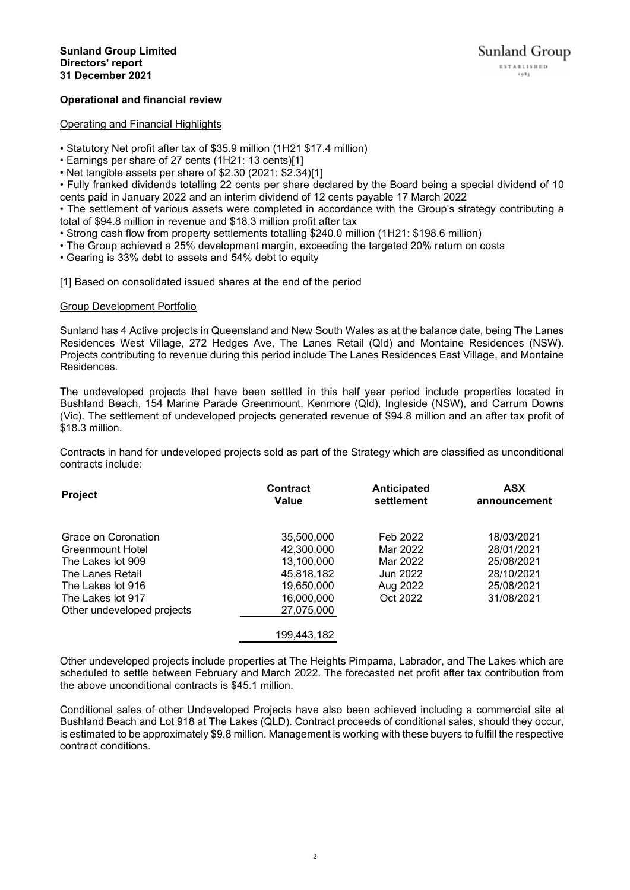# **Operational and financial review**

#### Operating and Financial Highlights

• Statutory Net profit after tax of \$35.9 million (1H21 \$17.4 million)

• Earnings per share of 27 cents (1H21: 13 cents)[1]

• Net tangible assets per share of \$2.30 (2021: \$2.34)[1]

• Fully franked dividends totalling 22 cents per share declared by the Board being a special dividend of 10 cents paid in January 2022 and an interim dividend of 12 cents payable 17 March 2022

• The settlement of various assets were completed in accordance with the Group's strategy contributing a total of \$94.8 million in revenue and \$18.3 million profit after tax

- Strong cash flow from property settlements totalling \$240.0 million (1H21: \$198.6 million)
- The Group achieved a 25% development margin, exceeding the targeted 20% return on costs
- Gearing is 33% debt to assets and 54% debt to equity

[1] Based on consolidated issued shares at the end of the period

# Group Development Portfolio

Sunland has 4 Active projects in Queensland and New South Wales as at the balance date, being The Lanes Residences West Village, 272 Hedges Ave, The Lanes Retail (Qld) and Montaine Residences (NSW). Projects contributing to revenue during this period include The Lanes Residences East Village, and Montaine Residences.

The undeveloped projects that have been settled in this half year period include properties located in Bushland Beach, 154 Marine Parade Greenmount, Kenmore (Qld), Ingleside (NSW), and Carrum Downs (Vic). The settlement of undeveloped projects generated revenue of \$94.8 million and an after tax profit of \$18.3 million.

Contracts in hand for undeveloped projects sold as part of the Strategy which are classified as unconditional contracts include:

| <b>Project</b>             | <b>Contract</b><br>Value | Anticipated<br>settlement | <b>ASX</b><br>announcement |
|----------------------------|--------------------------|---------------------------|----------------------------|
| Grace on Coronation        | 35,500,000               | Feb 2022                  | 18/03/2021                 |
| Greenmount Hotel           | 42,300,000               | Mar 2022                  | 28/01/2021                 |
| The Lakes lot 909          | 13,100,000               | Mar 2022                  | 25/08/2021                 |
| The Lanes Retail           | 45,818,182               | Jun 2022                  | 28/10/2021                 |
| The Lakes lot 916          | 19,650,000               | Aug 2022                  | 25/08/2021                 |
| The Lakes lot 917          | 16,000,000               | Oct 2022                  | 31/08/2021                 |
| Other undeveloped projects | 27,075,000               |                           |                            |
|                            | 199,443,182              |                           |                            |

Other undeveloped projects include properties at The Heights Pimpama, Labrador, and The Lakes which are scheduled to settle between February and March 2022. The forecasted net profit after tax contribution from the above unconditional contracts is \$45.1 million.

Conditional sales of other Undeveloped Projects have also been achieved including a commercial site at Bushland Beach and Lot 918 at The Lakes (QLD). Contract proceeds of conditional sales, should they occur, is estimated to be approximately \$9.8 million. Management is working with these buyers to fulfill the respective contract conditions.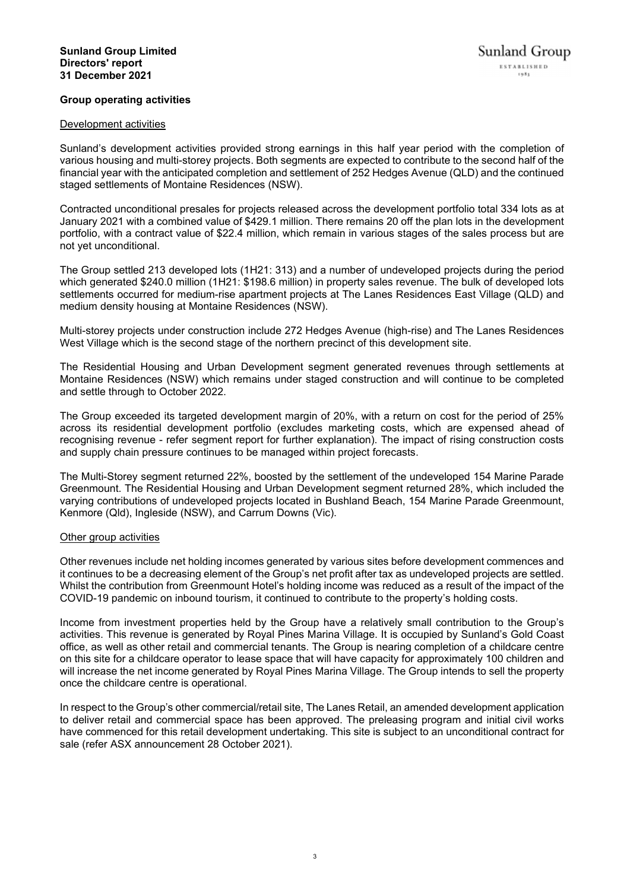# **Group operating activities**

#### Development activities

Sunland's development activities provided strong earnings in this half year period with the completion of various housing and multi-storey projects. Both segments are expected to contribute to the second half of the financial year with the anticipated completion and settlement of 252 Hedges Avenue (QLD) and the continued staged settlements of Montaine Residences (NSW).

Contracted unconditional presales for projects released across the development portfolio total 334 lots as at January 2021 with a combined value of \$429.1 million. There remains 20 off the plan lots in the development portfolio, with a contract value of \$22.4 million, which remain in various stages of the sales process but are not yet unconditional.

The Group settled 213 developed lots (1H21: 313) and a number of undeveloped projects during the period which generated \$240.0 million (1H21: \$198.6 million) in property sales revenue. The bulk of developed lots settlements occurred for medium-rise apartment projects at The Lanes Residences East Village (QLD) and medium density housing at Montaine Residences (NSW).

Multi-storey projects under construction include 272 Hedges Avenue (high-rise) and The Lanes Residences West Village which is the second stage of the northern precinct of this development site.

The Residential Housing and Urban Development segment generated revenues through settlements at Montaine Residences (NSW) which remains under staged construction and will continue to be completed and settle through to October 2022.

The Group exceeded its targeted development margin of 20%, with a return on cost for the period of 25% across its residential development portfolio (excludes marketing costs, which are expensed ahead of recognising revenue - refer segment report for further explanation). The impact of rising construction costs and supply chain pressure continues to be managed within project forecasts.

The Multi-Storey segment returned 22%, boosted by the settlement of the undeveloped 154 Marine Parade Greenmount. The Residential Housing and Urban Development segment returned 28%, which included the varying contributions of undeveloped projects located in Bushland Beach, 154 Marine Parade Greenmount, Kenmore (Qld), Ingleside (NSW), and Carrum Downs (Vic).

#### Other group activities

Other revenues include net holding incomes generated by various sites before development commences and it continues to be a decreasing element of the Group's net profit after tax as undeveloped projects are settled. Whilst the contribution from Greenmount Hotel's holding income was reduced as a result of the impact of the COVID-19 pandemic on inbound tourism, it continued to contribute to the property's holding costs.

Income from investment properties held by the Group have a relatively small contribution to the Group's activities. This revenue is generated by Royal Pines Marina Village. It is occupied by Sunland's Gold Coast office, as well as other retail and commercial tenants. The Group is nearing completion of a childcare centre on this site for a childcare operator to lease space that will have capacity for approximately 100 children and will increase the net income generated by Royal Pines Marina Village. The Group intends to sell the property once the childcare centre is operational.

In respect to the Group's other commercial/retail site, The Lanes Retail, an amended development application to deliver retail and commercial space has been approved. The preleasing program and initial civil works have commenced for this retail development undertaking. This site is subject to an unconditional contract for sale (refer ASX announcement 28 October 2021).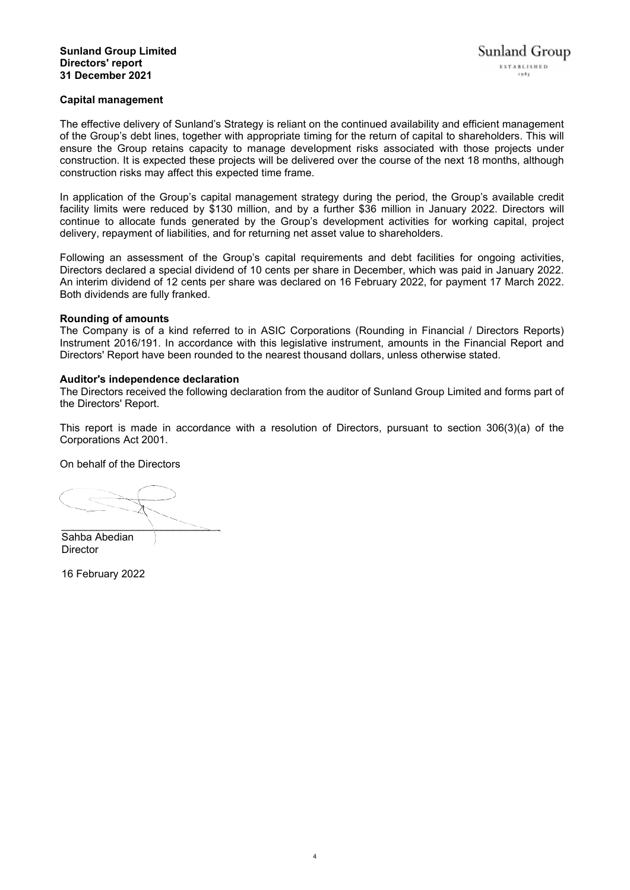# **Capital management**

The effective delivery of Sunland's Strategy is reliant on the continued availability and efficient management of the Group's debt lines, together with appropriate timing for the return of capital to shareholders. This will ensure the Group retains capacity to manage development risks associated with those projects under construction. It is expected these projects will be delivered over the course of the next 18 months, although construction risks may affect this expected time frame.

In application of the Group's capital management strategy during the period, the Group's available credit facility limits were reduced by \$130 million, and by a further \$36 million in January 2022. Directors will continue to allocate funds generated by the Group's development activities for working capital, project delivery, repayment of liabilities, and for returning net asset value to shareholders.

Following an assessment of the Group's capital requirements and debt facilities for ongoing activities, Directors declared a special dividend of 10 cents per share in December, which was paid in January 2022. An interim dividend of 12 cents per share was declared on 16 February 2022, for payment 17 March 2022. Both dividends are fully franked.

#### **Rounding of amounts**

The Company is of a kind referred to in ASIC Corporations (Rounding in Financial / Directors Reports) Instrument 2016/191. In accordance with this legislative instrument, amounts in the Financial Report and Directors' Report have been rounded to the nearest thousand dollars, unless otherwise stated.

#### **Auditor's independence declaration**

The Directors received the following declaration from the auditor of Sunland Group Limited and forms part of the Directors' Report.

This report is made in accordance with a resolution of Directors, pursuant to section 306(3)(a) of the Corporations Act 2001.

On behalf of the Directors

 $\overline{\phantom{a}}$  , and the set of the set of the set of the set of the set of the set of the set of the set of the set of the set of the set of the set of the set of the set of the set of the set of the set of the set of the s

Sahba Abedian **Director** 

16 February 2022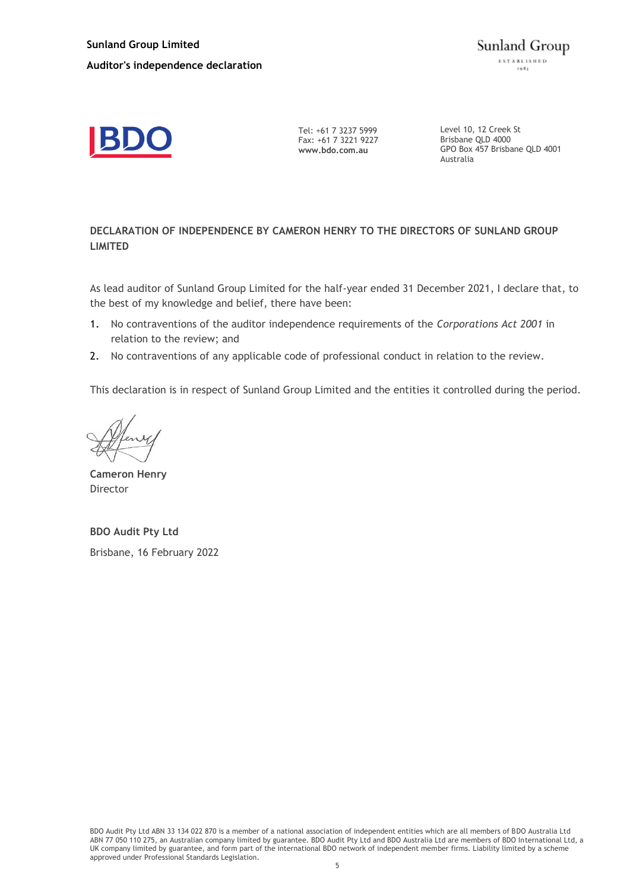

Tel: +61 7 3237 5999 Fax: +61 7 3221 9227 **www.bdo.com.au**

Level 10, 12 Creek St Brisbane QLD 4000 GPO Box 457 Brisbane QLD 4001 Australia

# **DECLARATION OF INDEPENDENCE BY CAMERON HENRY TO THE DIRECTORS OF SUNLAND GROUP LIMITED**

As lead auditor of Sunland Group Limited for the half-year ended 31 December 2021, I declare that, to the best of my knowledge and belief, there have been:

- 1. No contraventions of the auditor independence requirements of the *Corporations Act 2001* in relation to the review; and
- 2. No contraventions of any applicable code of professional conduct in relation to the review.

This declaration is in respect of Sunland Group Limited and the entities it controlled during the period.

**Cameron Henry** Director

**BDO Audit Pty Ltd** Brisbane, 16 February 2022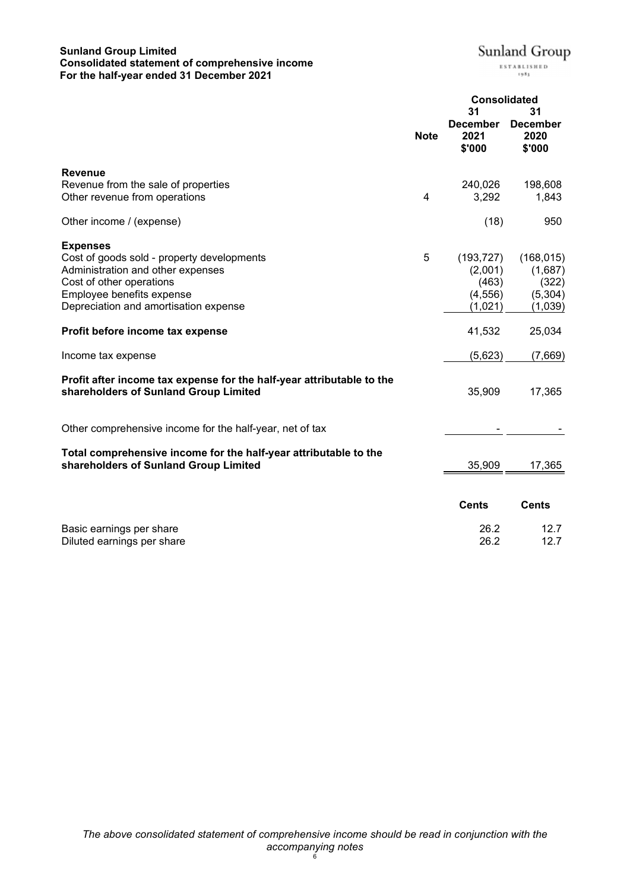# **Sunland Group Limited Consolidated statement of comprehensive income For the half-year ended 31 December 2021**

 $\pmb{ \text{Sunland Group} \ }_{\scriptscriptstyle \text{ESTALISRED}}$ 

|                                                                                                                                                                                                      |             | <b>Consolidated</b><br>31                             | 31                                                   |
|------------------------------------------------------------------------------------------------------------------------------------------------------------------------------------------------------|-------------|-------------------------------------------------------|------------------------------------------------------|
|                                                                                                                                                                                                      | <b>Note</b> | <b>December</b><br>2021<br>\$'000                     | <b>December</b><br>2020<br>\$'000                    |
| <b>Revenue</b>                                                                                                                                                                                       |             |                                                       |                                                      |
| Revenue from the sale of properties<br>Other revenue from operations                                                                                                                                 | 4           | 240,026<br>3,292                                      | 198,608<br>1,843                                     |
| Other income / (expense)                                                                                                                                                                             |             | (18)                                                  | 950                                                  |
| <b>Expenses</b><br>Cost of goods sold - property developments<br>Administration and other expenses<br>Cost of other operations<br>Employee benefits expense<br>Depreciation and amortisation expense | 5           | (193, 727)<br>(2,001)<br>(463)<br>(4, 556)<br>(1,021) | (168, 015)<br>(1,687)<br>(322)<br>(5,304)<br>(1,039) |
| Profit before income tax expense                                                                                                                                                                     |             | 41,532                                                | 25,034                                               |
| Income tax expense                                                                                                                                                                                   |             | (5,623)                                               | (7,669)                                              |
| Profit after income tax expense for the half-year attributable to the<br>shareholders of Sunland Group Limited                                                                                       |             | 35,909                                                | 17,365                                               |
| Other comprehensive income for the half-year, net of tax                                                                                                                                             |             |                                                       |                                                      |
| Total comprehensive income for the half-year attributable to the<br>shareholders of Sunland Group Limited                                                                                            |             | 35,909                                                | 17,365                                               |
|                                                                                                                                                                                                      |             | <b>Cents</b>                                          | <b>Cents</b>                                         |
| Basic earnings per share<br>Diluted earnings per share                                                                                                                                               |             | 26.2<br>26.2                                          | 12.7<br>12.7                                         |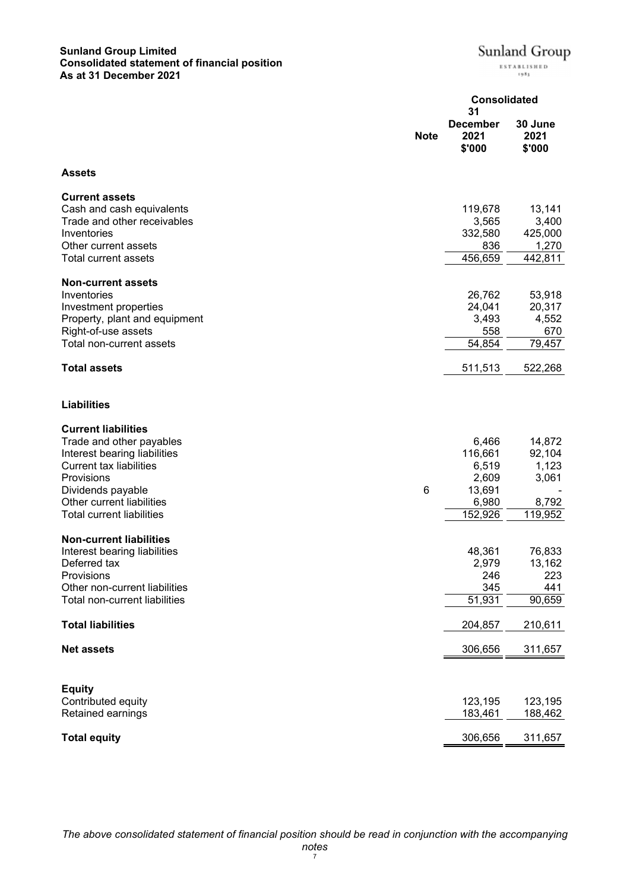# **Sunland Group Limited Consolidated statement of financial position As at 31 December 2021**

|                                                | <b>Note</b> | <b>December</b><br>2021<br>\$'000 | 30 June<br>2021<br>\$'000 |
|------------------------------------------------|-------------|-----------------------------------|---------------------------|
| Assets                                         |             |                                   |                           |
| <b>Current assets</b>                          |             |                                   |                           |
| Cash and cash equivalents                      |             | 119,678                           | 13,141                    |
| Trade and other receivables<br>Inventories     |             | 3,565<br>332,580                  | 3,400<br>425,000          |
| Other current assets                           |             | 836                               | 1,270                     |
| Total current assets                           |             | 456,659                           | 442,811                   |
| <b>Non-current assets</b>                      |             |                                   |                           |
| Inventories                                    |             | 26,762                            | 53,918                    |
| Investment properties                          |             | 24,041                            | 20,317                    |
| Property, plant and equipment                  |             | 3,493                             | 4,552                     |
| Right-of-use assets                            |             | 558                               | 670                       |
| Total non-current assets                       |             | 54,854                            | 79,457                    |
| <b>Total assets</b>                            |             | 511,513                           | 522,268                   |
| <b>Liabilities</b>                             |             |                                   |                           |
| <b>Current liabilities</b>                     |             |                                   |                           |
| Trade and other payables                       |             | 6,466                             | 14,872                    |
| Interest bearing liabilities                   |             | 116,661                           | 92,104                    |
| <b>Current tax liabilities</b>                 |             | 6,519                             | 1,123                     |
| Provisions                                     |             | 2,609                             | 3,061                     |
| Dividends payable<br>Other current liabilities | $\,6$       | 13,691<br>6,980                   |                           |
| <b>Total current liabilities</b>               |             | 152,926                           | 8,792<br>119,952          |
| <b>Non-current liabilities</b>                 |             |                                   |                           |
| Interest bearing liabilities                   |             | 48,361                            | 76,833                    |
| Deferred tax                                   |             | 2,979                             | 13,162                    |
| Provisions<br>Other non-current liabilities    |             | 246<br>345                        | 223                       |
| <b>Total non-current liabilities</b>           |             | 51,931                            | <u>441</u><br>90,659      |
|                                                |             |                                   |                           |
| <b>Total liabilities</b>                       |             | 204,857                           | 210,611                   |
| <b>Net assets</b>                              |             | 306,656                           | 311,657                   |
| <b>Equity</b>                                  |             |                                   |                           |
| Contributed equity                             |             | 123,195                           | 123,195                   |
| Retained earnings                              |             | 183,461                           | 188,462                   |
| <b>Total equity</b>                            |             | 306,656                           | 311,657                   |

Sunland Group

ESTABLISHED 1983

**Consolidated**

**31**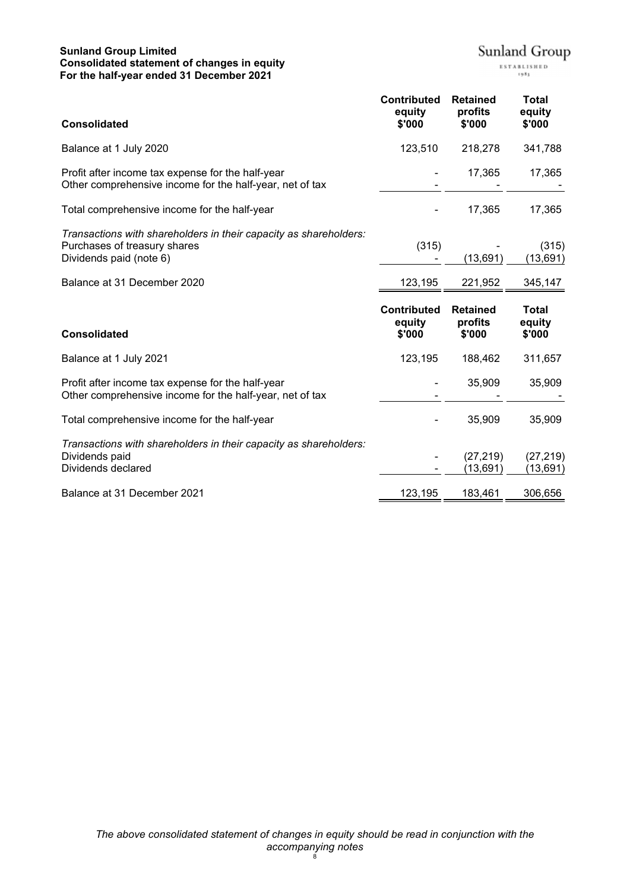# **Sunland Group Limited Consolidated statement of changes in equity For the half-year ended 31 December 2021**

 $\pmb{ \text{Sunland Group} \ }_{\scriptscriptstyle \text{ESTALISRED}}$ 

| <b>Consolidated</b>                                                                                                          | <b>Contributed</b><br>equity<br>\$'000 | <b>Retained</b><br>profits<br>\$'000 | <b>Total</b><br>equity<br>\$'000 |
|------------------------------------------------------------------------------------------------------------------------------|----------------------------------------|--------------------------------------|----------------------------------|
| Balance at 1 July 2020                                                                                                       | 123,510                                | 218,278                              | 341,788                          |
| Profit after income tax expense for the half-year<br>Other comprehensive income for the half-year, net of tax                |                                        | 17,365                               | 17,365                           |
| Total comprehensive income for the half-year                                                                                 |                                        | 17,365                               | 17,365                           |
| Transactions with shareholders in their capacity as shareholders:<br>Purchases of treasury shares<br>Dividends paid (note 6) | (315)                                  | (13, 691)                            | (315)<br>(13, 691)               |
| Balance at 31 December 2020                                                                                                  | 123,195                                | 221,952                              | 345,147                          |
|                                                                                                                              |                                        |                                      |                                  |
| <b>Consolidated</b>                                                                                                          | <b>Contributed</b><br>equity<br>\$'000 | <b>Retained</b><br>profits<br>\$'000 | <b>Total</b><br>equity<br>\$'000 |
| Balance at 1 July 2021                                                                                                       | 123,195                                | 188,462                              | 311,657                          |
| Profit after income tax expense for the half-year<br>Other comprehensive income for the half-year, net of tax                |                                        | 35,909                               | 35,909                           |
| Total comprehensive income for the half-year                                                                                 |                                        | 35,909                               | 35,909                           |
| Transactions with shareholders in their capacity as shareholders:<br>Dividends paid<br>Dividends declared                    |                                        | (27, 219)<br>(13, 691)               | (27, 219)<br>(13,691)            |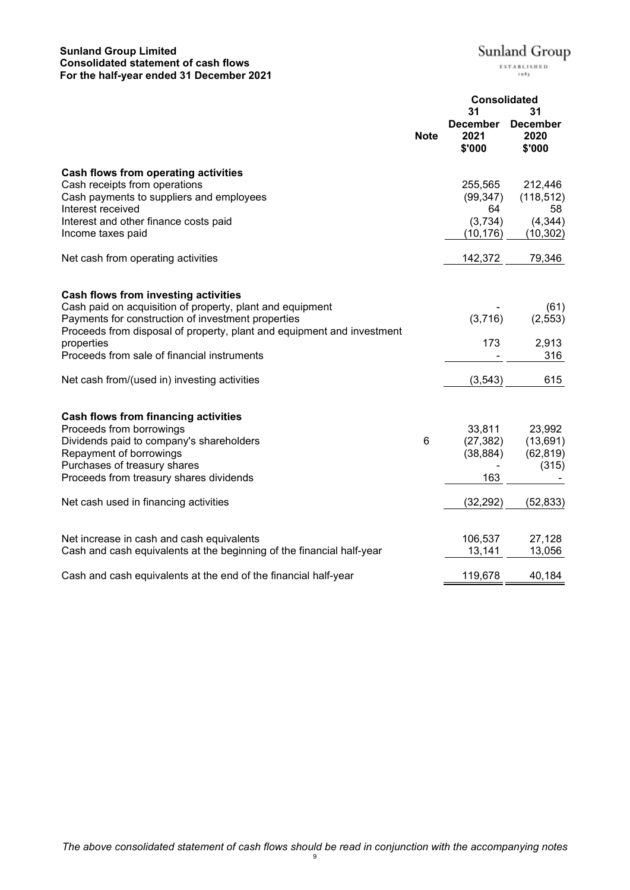# **Sunland Group Limited Consolidated statement of cash flows For the half-year ended 31 December 2021**

Sunland Group

 $\begin{array}{c} \texttt{ESTABLISHED} \\ \texttt{1933} \end{array}$ 

|                                                                                                                                                                                                                                                                                                |             | <b>Consolidated</b><br>31<br>31                    |                                                      |
|------------------------------------------------------------------------------------------------------------------------------------------------------------------------------------------------------------------------------------------------------------------------------------------------|-------------|----------------------------------------------------|------------------------------------------------------|
|                                                                                                                                                                                                                                                                                                | <b>Note</b> | <b>December</b><br>2021<br>\$'000                  | <b>December</b><br>2020<br>\$'000                    |
| Cash flows from operating activities<br>Cash receipts from operations<br>Cash payments to suppliers and employees<br>Interest received<br>Interest and other finance costs paid<br>Income taxes paid                                                                                           |             | 255,565<br>(99, 347)<br>64<br>(3,734)<br>(10, 176) | 212,446<br>(118, 512)<br>58<br>(4, 344)<br>(10, 302) |
| Net cash from operating activities                                                                                                                                                                                                                                                             |             | 142,372                                            | 79,346                                               |
| Cash flows from investing activities<br>Cash paid on acquisition of property, plant and equipment<br>Payments for construction of investment properties<br>Proceeds from disposal of property, plant and equipment and investment<br>properties<br>Proceeds from sale of financial instruments |             | (3,716)<br>173                                     | (61)<br>(2, 553)<br>2,913<br>316                     |
| Net cash from/(used in) investing activities                                                                                                                                                                                                                                                   |             | (3, 543)                                           | 615                                                  |
| <b>Cash flows from financing activities</b><br>Proceeds from borrowings<br>Dividends paid to company's shareholders<br>Repayment of borrowings<br>Purchases of treasury shares<br>Proceeds from treasury shares dividends                                                                      | 6           | 33,811<br>(27, 382)<br>(38, 884)<br>163            | 23,992<br>(13,691)<br>(62, 819)<br>(315)             |
| Net cash used in financing activities                                                                                                                                                                                                                                                          |             | (32, 292)                                          | (52, 833)                                            |
| Net increase in cash and cash equivalents<br>Cash and cash equivalents at the beginning of the financial half-year                                                                                                                                                                             |             | 106,537<br>13,141                                  | 27,128<br>13,056                                     |
| Cash and cash equivalents at the end of the financial half-year                                                                                                                                                                                                                                |             | 119,678                                            | 40,184                                               |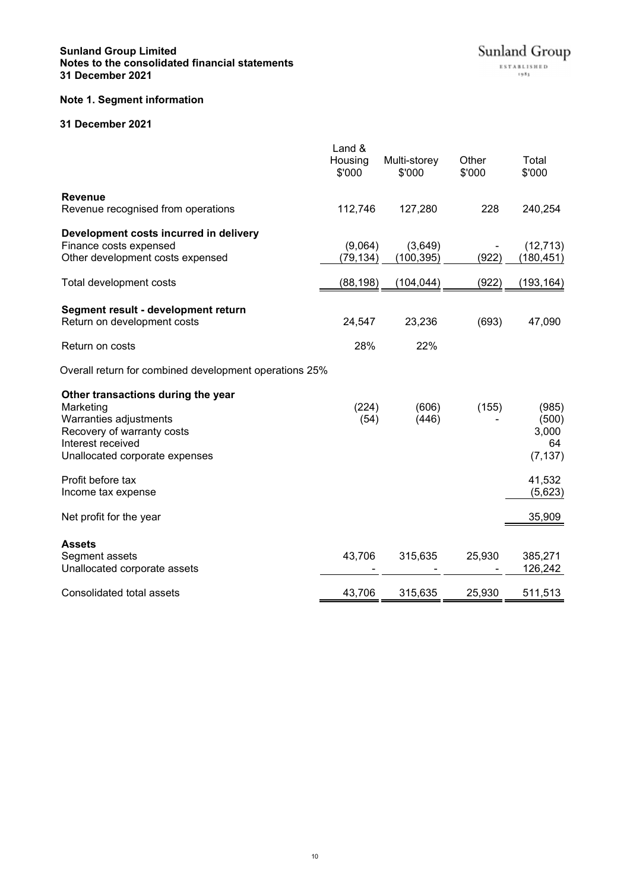# **Sunland Group Limited Notes to the consolidated financial statements 31 December 2021**

# **Note 1. Segment information**

# **31 December 2021**

|                                                                                                                                                                | Land &<br>Housing<br>\$'000 | Multi-storey<br>\$'000 | Other<br>\$'000 | Total<br>\$'000                           |
|----------------------------------------------------------------------------------------------------------------------------------------------------------------|-----------------------------|------------------------|-----------------|-------------------------------------------|
| <b>Revenue</b><br>Revenue recognised from operations                                                                                                           | 112,746                     | 127,280                | 228             | 240,254                                   |
| Development costs incurred in delivery<br>Finance costs expensed<br>Other development costs expensed                                                           | (9,064)<br>(79,134)         | (3,649)<br>(100, 395)  | (922)           | (12, 713)<br>(180, 451)                   |
| Total development costs                                                                                                                                        | (88,198)                    | (104, 044)             | (922)           | (193, 164)                                |
| Segment result - development return<br>Return on development costs<br>Return on costs                                                                          | 24,547<br>28%               | 23,236<br>22%          | (693)           | 47,090                                    |
| Overall return for combined development operations 25%                                                                                                         |                             |                        |                 |                                           |
| Other transactions during the year<br>Marketing<br>Warranties adjustments<br>Recovery of warranty costs<br>Interest received<br>Unallocated corporate expenses | (224)<br>(54)               | (606)<br>(446)         | (155)           | (985)<br>(500)<br>3,000<br>64<br>(7, 137) |
| Profit before tax<br>Income tax expense                                                                                                                        |                             |                        |                 | 41,532<br>(5,623)                         |
| Net profit for the year                                                                                                                                        |                             |                        |                 | 35,909                                    |
| <b>Assets</b><br>Segment assets<br>Unallocated corporate assets                                                                                                | 43,706                      | 315,635                | 25,930          | 385,271<br>126,242                        |
| Consolidated total assets                                                                                                                                      | 43,706                      | 315,635                | 25,930          | 511,513                                   |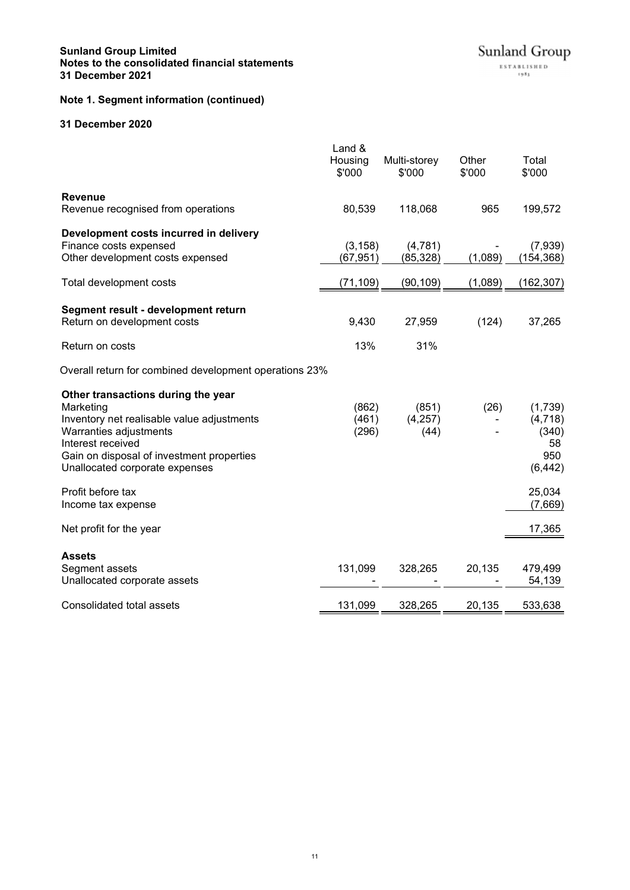# **Note 1. Segment information (continued)**

# **31 December 2020**

|                                                                                                                                                                                                                                                                                       | Land &<br>Housing<br>\$'000        | Multi-storey<br>\$'000            | Other<br>\$'000    | Total<br>\$'000                                       |
|---------------------------------------------------------------------------------------------------------------------------------------------------------------------------------------------------------------------------------------------------------------------------------------|------------------------------------|-----------------------------------|--------------------|-------------------------------------------------------|
| <b>Revenue</b><br>Revenue recognised from operations                                                                                                                                                                                                                                  | 80,539                             | 118,068                           | 965                | 199,572                                               |
| Development costs incurred in delivery<br>Finance costs expensed<br>Other development costs expensed<br>Total development costs                                                                                                                                                       | (3, 158)<br>(67, 951)<br>(71, 109) | (4,781)<br>(85, 328)<br>(90, 109) | (1,089)<br>(1,089) | (7,939)<br>(154, 368)<br>(162, 307)                   |
| Segment result - development return<br>Return on development costs<br>Return on costs                                                                                                                                                                                                 | 9,430<br>13%                       | 27,959<br>31%                     | (124)              | 37,265                                                |
| Overall return for combined development operations 23%<br>Other transactions during the year<br>Marketing<br>Inventory net realisable value adjustments<br>Warranties adjustments<br>Interest received<br>Gain on disposal of investment properties<br>Unallocated corporate expenses | (862)<br>(461)<br>(296)            | (851)<br>(4,257)<br>(44)          | (26)               | (1,739)<br>(4, 718)<br>(340)<br>58<br>950<br>(6, 442) |
| Profit before tax<br>Income tax expense<br>Net profit for the year                                                                                                                                                                                                                    |                                    |                                   |                    | 25,034<br>(7,669)<br>17,365                           |
| <b>Assets</b><br>Segment assets<br>Unallocated corporate assets                                                                                                                                                                                                                       | 131,099                            | 328,265                           | 20,135             | 479,499<br>54,139                                     |
| Consolidated total assets                                                                                                                                                                                                                                                             | 131,099                            | 328,265                           | 20,135             | 533,638                                               |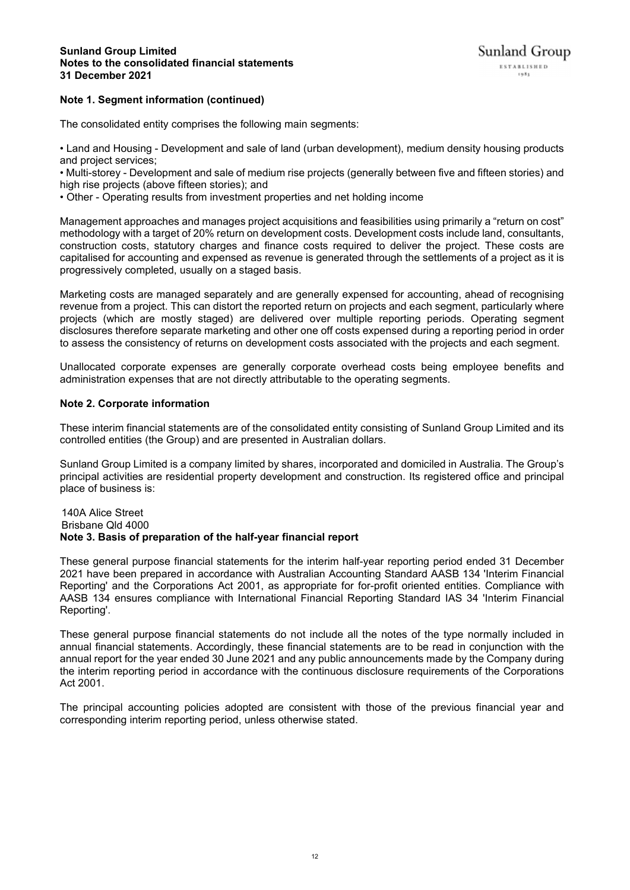# **Note 1. Segment information (continued)**

The consolidated entity comprises the following main segments:

• Land and Housing - Development and sale of land (urban development), medium density housing products and project services;

• Multi-storey - Development and sale of medium rise projects (generally between five and fifteen stories) and high rise projects (above fifteen stories); and

• Other - Operating results from investment properties and net holding income

Management approaches and manages project acquisitions and feasibilities using primarily a "return on cost" methodology with a target of 20% return on development costs. Development costs include land, consultants, construction costs, statutory charges and finance costs required to deliver the project. These costs are capitalised for accounting and expensed as revenue is generated through the settlements of a project as it is progressively completed, usually on a staged basis.

Marketing costs are managed separately and are generally expensed for accounting, ahead of recognising revenue from a project. This can distort the reported return on projects and each segment, particularly where projects (which are mostly staged) are delivered over multiple reporting periods. Operating segment disclosures therefore separate marketing and other one off costs expensed during a reporting period in order to assess the consistency of returns on development costs associated with the projects and each segment.

Unallocated corporate expenses are generally corporate overhead costs being employee benefits and administration expenses that are not directly attributable to the operating segments.

# **Note 2. Corporate information**

These interim financial statements are of the consolidated entity consisting of Sunland Group Limited and its controlled entities (the Group) and are presented in Australian dollars.

Sunland Group Limited is a company limited by shares, incorporated and domiciled in Australia. The Group's principal activities are residential property development and construction. Its registered office and principal place of business is:

#### 140A Alice Street Brisbane Qld 4000 **Note 3. Basis of preparation of the half-year financial report**

These general purpose financial statements for the interim half-year reporting period ended 31 December 2021 have been prepared in accordance with Australian Accounting Standard AASB 134 'Interim Financial Reporting' and the Corporations Act 2001, as appropriate for for-profit oriented entities. Compliance with AASB 134 ensures compliance with International Financial Reporting Standard IAS 34 'Interim Financial Reporting'.

These general purpose financial statements do not include all the notes of the type normally included in annual financial statements. Accordingly, these financial statements are to be read in conjunction with the annual report for the year ended 30 June 2021 and any public announcements made by the Company during the interim reporting period in accordance with the continuous disclosure requirements of the Corporations Act 2001.

The principal accounting policies adopted are consistent with those of the previous financial year and corresponding interim reporting period, unless otherwise stated.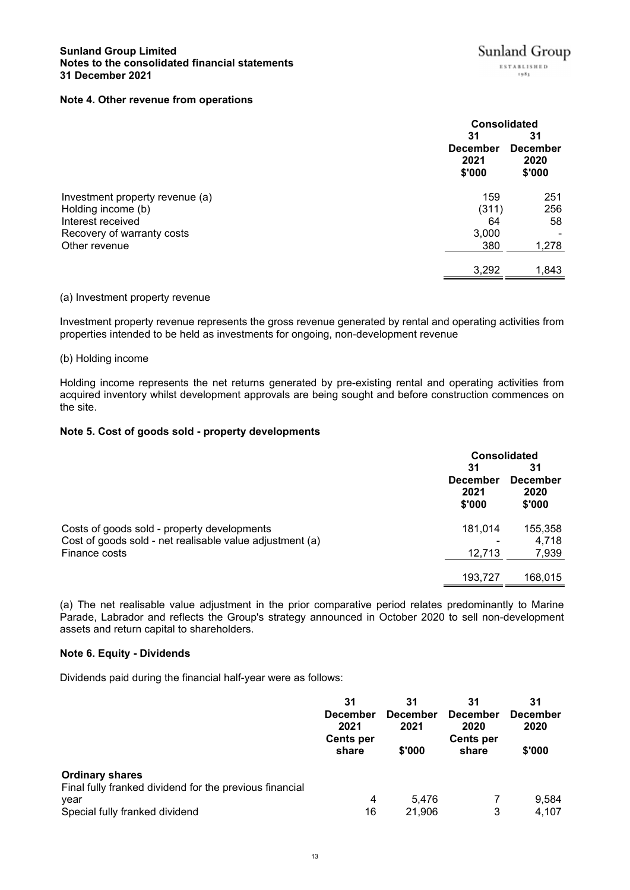# **Note 4. Other revenue from operations**

|                                 | <b>Consolidated</b>                     |                                         |
|---------------------------------|-----------------------------------------|-----------------------------------------|
|                                 | 31<br><b>December</b><br>2021<br>\$'000 | 31<br><b>December</b><br>2020<br>\$'000 |
| Investment property revenue (a) | 159                                     | 251                                     |
| Holding income (b)              | (311)                                   | 256                                     |
| Interest received               | 64                                      | 58                                      |
| Recovery of warranty costs      | 3,000                                   |                                         |
| Other revenue                   | 380                                     | 1,278                                   |
|                                 | 3,292                                   | 1,843                                   |

# (a) Investment property revenue

Investment property revenue represents the gross revenue generated by rental and operating activities from properties intended to be held as investments for ongoing, non-development revenue

#### (b) Holding income

Holding income represents the net returns generated by pre-existing rental and operating activities from acquired inventory whilst development approvals are being sought and before construction commences on the site.

# **Note 5. Cost of goods sold - property developments**

|                                                          | <b>Consolidated</b>               |                                   |  |
|----------------------------------------------------------|-----------------------------------|-----------------------------------|--|
|                                                          | 31                                | 31                                |  |
|                                                          | <b>December</b><br>2021<br>\$'000 | <b>December</b><br>2020<br>\$'000 |  |
| Costs of goods sold - property developments              | 181,014                           | 155,358                           |  |
| Cost of goods sold - net realisable value adjustment (a) |                                   | 4,718                             |  |
| Finance costs                                            | 12,713                            | 7,939                             |  |
|                                                          | 193,727                           | 168,015                           |  |

(a) The net realisable value adjustment in the prior comparative period relates predominantly to Marine Parade, Labrador and reflects the Group's strategy announced in October 2020 to sell non-development assets and return capital to shareholders.

# **Note 6. Equity - Dividends**

Dividends paid during the financial half-year were as follows:

|                                                         | 31<br><b>December</b><br>2021<br><b>Cents per</b><br>share | 31<br><b>December</b><br>2021<br>\$'000 | 31<br><b>December</b><br>2020<br><b>Cents per</b><br>share | 31<br><b>December</b><br>2020<br>\$'000 |
|---------------------------------------------------------|------------------------------------------------------------|-----------------------------------------|------------------------------------------------------------|-----------------------------------------|
|                                                         |                                                            |                                         |                                                            |                                         |
|                                                         |                                                            |                                         |                                                            |                                         |
|                                                         |                                                            |                                         |                                                            |                                         |
| <b>Ordinary shares</b>                                  |                                                            |                                         |                                                            |                                         |
| Final fully franked dividend for the previous financial |                                                            |                                         |                                                            |                                         |
| year                                                    | 4                                                          | 5.476                                   |                                                            | 9,584                                   |
| Special fully franked dividend                          | 16                                                         | 21.906                                  | 3                                                          | 4,107                                   |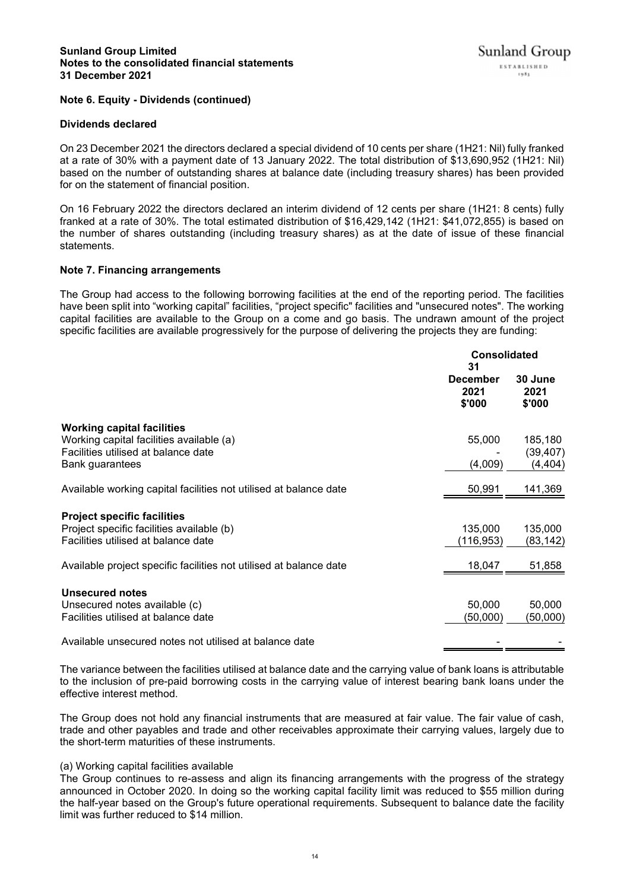# **Sunland Group Limited Notes to the consolidated financial statements 31 December 2021**

# **Note 6. Equity - Dividends (continued)**

#### **Dividends declared**

On 23 December 2021 the directors declared a special dividend of 10 cents per share (1H21: Nil) fully franked at a rate of 30% with a payment date of 13 January 2022. The total distribution of \$13,690,952 (1H21: Nil) based on the number of outstanding shares at balance date (including treasury shares) has been provided for on the statement of financial position.

On 16 February 2022 the directors declared an interim dividend of 12 cents per share (1H21: 8 cents) fully franked at a rate of 30%. The total estimated distribution of \$16,429,142 (1H21: \$41,072,855) is based on the number of shares outstanding (including treasury shares) as at the date of issue of these financial statements.

#### **Note 7. Financing arrangements**

The Group had access to the following borrowing facilities at the end of the reporting period. The facilities have been split into "working capital" facilities, "project specific" facilities and "unsecured notes". The working capital facilities are available to the Group on a come and go basis. The undrawn amount of the project specific facilities are available progressively for the purpose of delivering the projects they are funding:

|                                                                    | <b>Consolidated</b><br>31  |                           |
|--------------------------------------------------------------------|----------------------------|---------------------------|
|                                                                    | December<br>2021<br>\$'000 | 30 June<br>2021<br>\$'000 |
| <b>Working capital facilities</b>                                  |                            |                           |
| Working capital facilities available (a)                           | 55,000                     | 185,180                   |
| Facilities utilised at balance date                                |                            | (39, 407)                 |
| Bank guarantees                                                    | (4,009)                    | (4, 404)                  |
| Available working capital facilities not utilised at balance date  | 50,991                     | 141,369                   |
| <b>Project specific facilities</b>                                 |                            |                           |
| Project specific facilities available (b)                          | 135,000                    | 135,000                   |
| Facilities utilised at balance date                                | (116, 953)                 | (83, 142)                 |
| Available project specific facilities not utilised at balance date | 18,047                     | 51,858                    |
| <b>Unsecured notes</b>                                             |                            |                           |
| Unsecured notes available (c)                                      | 50,000                     | 50,000                    |
| Facilities utilised at balance date                                | (50,000)                   | (50,000)                  |
| Available unsecured notes not utilised at balance date             |                            |                           |
|                                                                    |                            |                           |

The variance between the facilities utilised at balance date and the carrying value of bank loans is attributable to the inclusion of pre-paid borrowing costs in the carrying value of interest bearing bank loans under the effective interest method.

The Group does not hold any financial instruments that are measured at fair value. The fair value of cash, trade and other payables and trade and other receivables approximate their carrying values, largely due to the short-term maturities of these instruments.

#### (a) Working capital facilities available

The Group continues to re-assess and align its financing arrangements with the progress of the strategy announced in October 2020. In doing so the working capital facility limit was reduced to \$55 million during the half-year based on the Group's future operational requirements. Subsequent to balance date the facility limit was further reduced to \$14 million.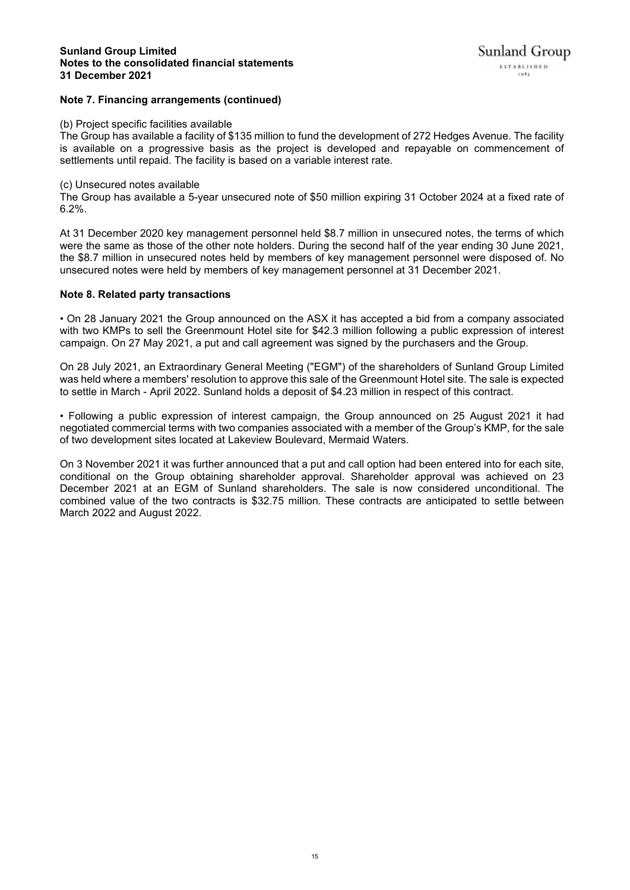# **Sunland Group Limited Notes to the consolidated financial statements 31 December 2021**

# **Note 7. Financing arrangements (continued)**

# (b) Project specific facilities available

The Group has available a facility of \$135 million to fund the development of 272 Hedges Avenue. The facility is available on a progressive basis as the project is developed and repayable on commencement of settlements until repaid. The facility is based on a variable interest rate.

# (c) Unsecured notes available

The Group has available a 5-year unsecured note of \$50 million expiring 31 October 2024 at a fixed rate of 6.2%.

At 31 December 2020 key management personnel held \$8.7 million in unsecured notes, the terms of which were the same as those of the other note holders. During the second half of the year ending 30 June 2021, the \$8.7 million in unsecured notes held by members of key management personnel were disposed of. No unsecured notes were held by members of key management personnel at 31 December 2021.

# **Note 8. Related party transactions**

• On 28 January 2021 the Group announced on the ASX it has accepted a bid from a company associated with two KMPs to sell the Greenmount Hotel site for \$42.3 million following a public expression of interest campaign. On 27 May 2021, a put and call agreement was signed by the purchasers and the Group.

On 28 July 2021, an Extraordinary General Meeting ("EGM") of the shareholders of Sunland Group Limited was held where a members' resolution to approve this sale of the Greenmount Hotel site. The sale is expected to settle in March - April 2022. Sunland holds a deposit of \$4.23 million in respect of this contract.

• Following a public expression of interest campaign, the Group announced on 25 August 2021 it had negotiated commercial terms with two companies associated with a member of the Group's KMP, for the sale of two development sites located at Lakeview Boulevard, Mermaid Waters.

On 3 November 2021 it was further announced that a put and call option had been entered into for each site, conditional on the Group obtaining shareholder approval. Shareholder approval was achieved on 23 December 2021 at an EGM of Sunland shareholders. The sale is now considered unconditional. The combined value of the two contracts is \$32.75 million. These contracts are anticipated to settle between March 2022 and August 2022.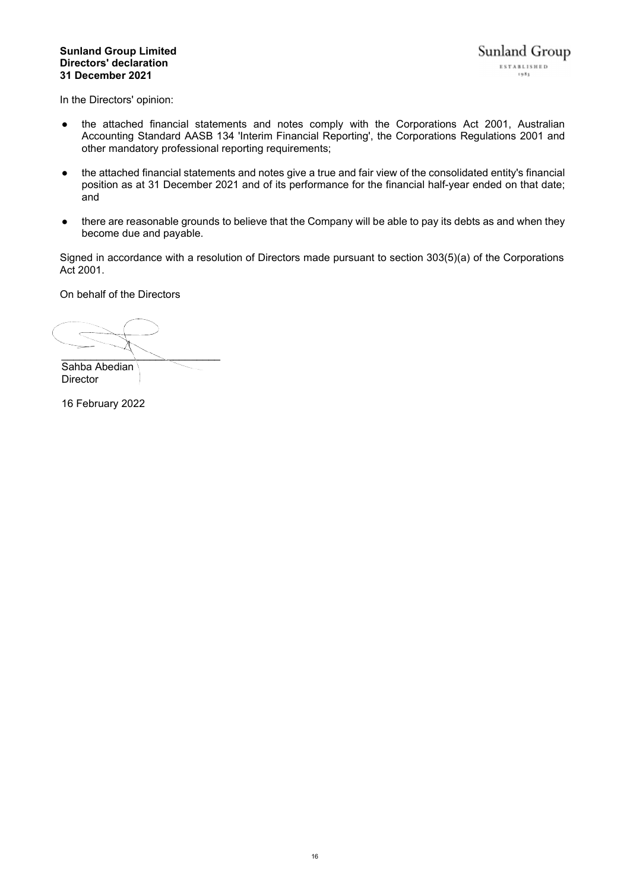# **Sunland Group Limited Directors' declaration 31 December 2021**

In the Directors' opinion:

- the attached financial statements and notes comply with the Corporations Act 2001, Australian Accounting Standard AASB 134 'Interim Financial Reporting', the Corporations Regulations 2001 and other mandatory professional reporting requirements;
- the attached financial statements and notes give a true and fair view of the consolidated entity's financial position as at 31 December 2021 and of its performance for the financial half-year ended on that date; and
- there are reasonable grounds to believe that the Company will be able to pay its debts as and when they become due and payable.

Signed in accordance with a resolution of Directors made pursuant to section 303(5)(a) of the Corporations Act 2001.

On behalf of the Directors

 $\overline{\phantom{a}}$  ,  $\overline{\phantom{a}}$  ,  $\overline{\phantom{a}}$  ,  $\overline{\phantom{a}}$  ,  $\overline{\phantom{a}}$  ,  $\overline{\phantom{a}}$  ,  $\overline{\phantom{a}}$  ,  $\overline{\phantom{a}}$  ,  $\overline{\phantom{a}}$  ,  $\overline{\phantom{a}}$  ,  $\overline{\phantom{a}}$  ,  $\overline{\phantom{a}}$  ,  $\overline{\phantom{a}}$  ,  $\overline{\phantom{a}}$  ,  $\overline{\phantom{a}}$  ,  $\overline{\phantom{a}}$ 

Sahba Abedian Director

16 February 2022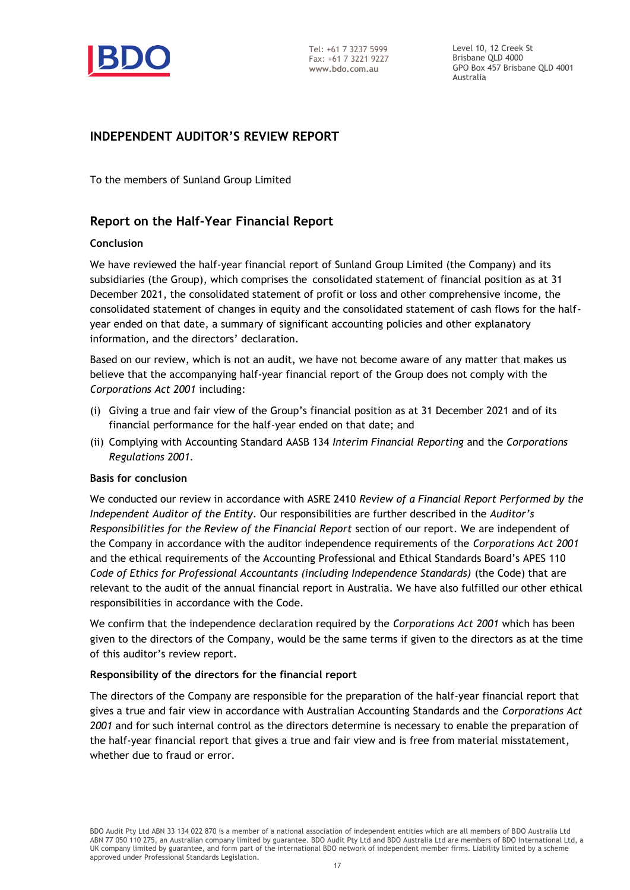

Level 10, 12 Creek St Brisbane QLD 4000 GPO Box 457 Brisbane QLD 4001 Australia

# **INDEPENDENT AUDITOR'S REVIEW REPORT**

To the members of Sunland Group Limited

# **Report on the Half-Year Financial Report**

# **Conclusion**

We have reviewed the half-year financial report of Sunland Group Limited (the Company) and its subsidiaries (the Group), which comprises the consolidated statement of financial position as at 31 December 2021, the consolidated statement of profit or loss and other comprehensive income, the consolidated statement of changes in equity and the consolidated statement of cash flows for the halfyear ended on that date, a summary of significant accounting policies and other explanatory information, and the directors' declaration.

Based on our review, which is not an audit, we have not become aware of any matter that makes us believe that the accompanying half-year financial report of the Group does not comply with the *Corporations Act 2001* including:

- (i) Giving a true and fair view of the Group's financial position as at 31 December 2021 and of its financial performance for the half-year ended on that date; and
- (ii) Complying with Accounting Standard AASB 134 *Interim Financial Reporting* and the *Corporations Regulations 2001.*

# **Basis for conclusion**

We conducted our review in accordance with ASRE 2410 *Review of a Financial Report Performed by the Independent Auditor of the Entity*. Our responsibilities are further described in the *Auditor's Responsibilities for the Review of the Financial Report* section of our report. We are independent of the Company in accordance with the auditor independence requirements of the *Corporations Act 2001* and the ethical requirements of the Accounting Professional and Ethical Standards Board's APES 110 *Code of Ethics for Professional Accountants (including Independence Standards)* (the Code) that are relevant to the audit of the annual financial report in Australia. We have also fulfilled our other ethical responsibilities in accordance with the Code.

We confirm that the independence declaration required by the *Corporations Act 2001* which has been given to the directors of the Company, would be the same terms if given to the directors as at the time of this auditor's review report.

# **Responsibility of the directors for the financial report**

The directors of the Company are responsible for the preparation of the half-year financial report that gives a true and fair view in accordance with Australian Accounting Standards and the *Corporations Act 2001* and for such internal control as the directors determine is necessary to enable the preparation of the half-year financial report that gives a true and fair view and is free from material misstatement, whether due to fraud or error.